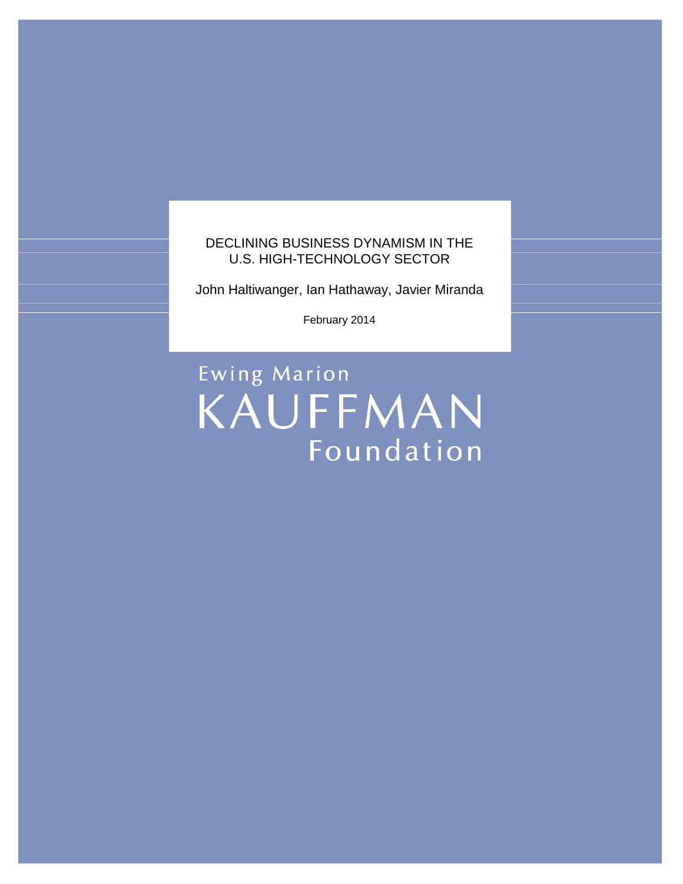## DECLINING BUSINESS DYNAMISM IN THE U.S. HIGH-TECHNOLOGY SECTOR

John Haltiwanger, Ian Hathaway, Javier Miranda

February 2014

Ewing Marion KAUFFMAN Foundation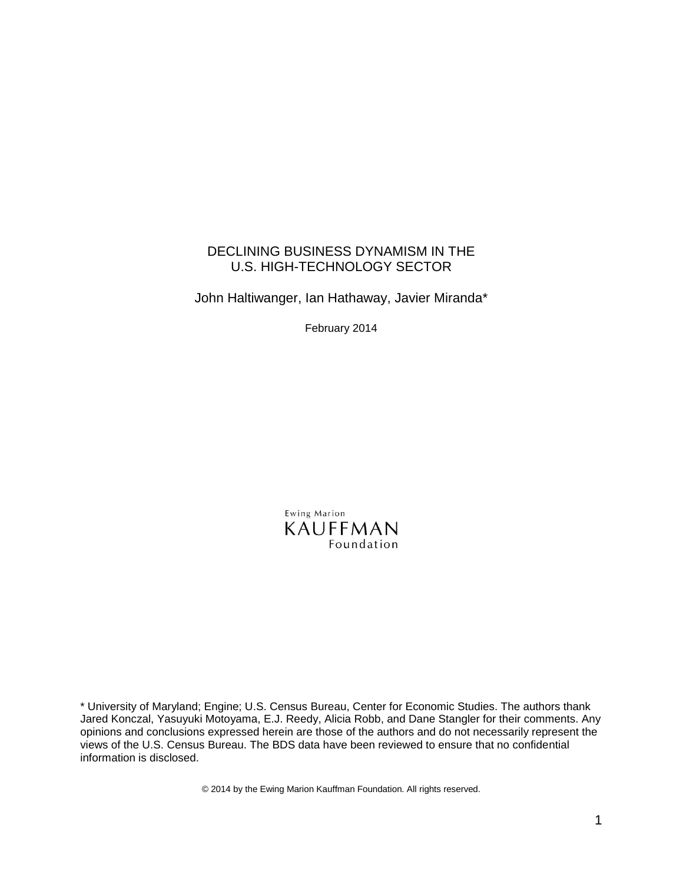### DECLINING BUSINESS DYNAMISM IN THE U.S. HIGH-TECHNOLOGY SECTOR

John Haltiwanger, Ian Hathaway, Javier Miranda\*

February 2014

Ewing Marion **KAUFFMAN** Foundation

\* University of Maryland; Engine; U.S. Census Bureau, Center for Economic Studies. The authors thank Jared Konczal, Yasuyuki Motoyama, E.J. Reedy, Alicia Robb, and Dane Stangler for their comments. Any opinions and conclusions expressed herein are those of the authors and do not necessarily represent the views of the U.S. Census Bureau. The BDS data have been reviewed to ensure that no confidential information is disclosed.

© 2014 by the Ewing Marion Kauffman Foundation. All rights reserved.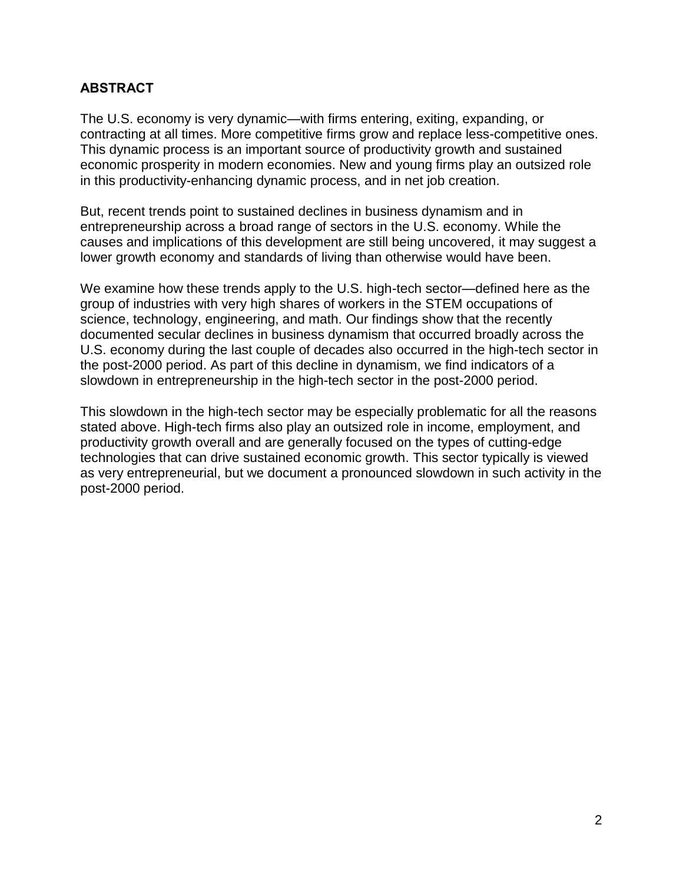## **ABSTRACT**

The U.S. economy is very dynamic—with firms entering, exiting, expanding, or contracting at all times. More competitive firms grow and replace less-competitive ones. This dynamic process is an important source of productivity growth and sustained economic prosperity in modern economies. New and young firms play an outsized role in this productivity-enhancing dynamic process, and in net job creation.

But, recent trends point to sustained declines in business dynamism and in entrepreneurship across a broad range of sectors in the U.S. economy. While the causes and implications of this development are still being uncovered, it may suggest a lower growth economy and standards of living than otherwise would have been.

We examine how these trends apply to the U.S. high-tech sector—defined here as the group of industries with very high shares of workers in the STEM occupations of science, technology, engineering, and math. Our findings show that the recently documented secular declines in business dynamism that occurred broadly across the U.S. economy during the last couple of decades also occurred in the high-tech sector in the post-2000 period. As part of this decline in dynamism, we find indicators of a slowdown in entrepreneurship in the high-tech sector in the post-2000 period.

This slowdown in the high-tech sector may be especially problematic for all the reasons stated above. High-tech firms also play an outsized role in income, employment, and productivity growth overall and are generally focused on the types of cutting-edge technologies that can drive sustained economic growth. This sector typically is viewed as very entrepreneurial, but we document a pronounced slowdown in such activity in the post-2000 period.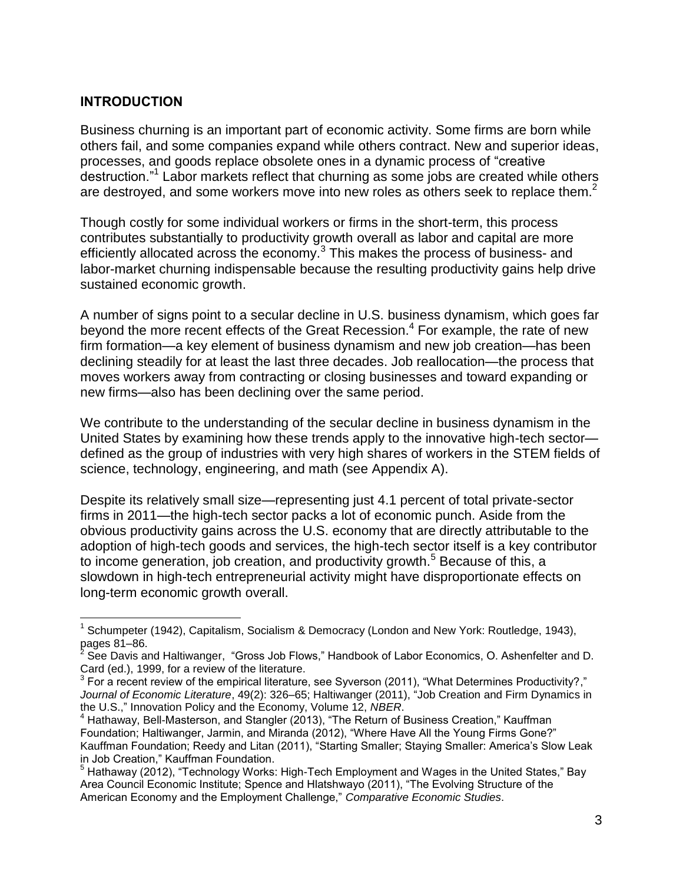### **INTRODUCTION**

l

Business churning is an important part of economic activity. Some firms are born while others fail, and some companies expand while others contract. New and superior ideas, processes, and goods replace obsolete ones in a dynamic process of "creative destruction."<sup>1</sup> Labor markets reflect that churning as some jobs are created while others are destroyed, and some workers move into new roles as others seek to replace them.<sup>2</sup>

Though costly for some individual workers or firms in the short-term, this process contributes substantially to productivity growth overall as labor and capital are more efficiently allocated across the economy. $3$  This makes the process of business- and labor-market churning indispensable because the resulting productivity gains help drive sustained economic growth.

A number of signs point to a secular decline in U.S. business dynamism, which goes far beyond the more recent effects of the Great Recession.<sup>4</sup> For example, the rate of new firm formation—a key element of business dynamism and new job creation—has been declining steadily for at least the last three decades. Job reallocation—the process that moves workers away from contracting or closing businesses and toward expanding or new firms—also has been declining over the same period.

We contribute to the understanding of the secular decline in business dynamism in the United States by examining how these trends apply to the innovative high-tech sector defined as the group of industries with very high shares of workers in the STEM fields of science, technology, engineering, and math (see Appendix A).

Despite its relatively small size—representing just 4.1 percent of total private-sector firms in 2011—the high-tech sector packs a lot of economic punch. Aside from the obvious productivity gains across the U.S. economy that are directly attributable to the adoption of high-tech goods and services, the high-tech sector itself is a key contributor to income generation, job creation, and productivity growth.<sup>5</sup> Because of this, a slowdown in high-tech entrepreneurial activity might have disproportionate effects on long-term economic growth overall.

<sup>&</sup>lt;sup>1</sup> Schumpeter (1942), Capitalism, Socialism & Democracy (London and New York: Routledge, 1943),

pages 81–86.<br><sup>2</sup> See Davis and Haltiwanger, "Gross Job Flows," Handbook of Labor Economics, O. Ashenfelter and D. Card (ed.), 1999, for a review of the literature.<br><sup>3</sup> Fer a recent review of the empirical literature.

For a recent review of the empirical literature, see Syverson (2011), "What Determines Productivity?," *Journal of Economic Literature*, 49(2): 326–65; Haltiwanger (2011), "Job Creation and Firm Dynamics in the U.S.," Innovation Policy and the Economy, Volume 12, *NBER*.

<sup>4</sup> Hathaway, Bell-Masterson, and Stangler (2013), "The Return of Business Creation," Kauffman Foundation; Haltiwanger, Jarmin, and Miranda (2012), "Where Have All the Young Firms Gone?" Kauffman Foundation; Reedy and Litan (2011), "Starting Smaller; Staying Smaller: America's Slow Leak in Job Creation," Kauffman Foundation.

<sup>&</sup>lt;sup>5</sup> Hathaway (2012), "Technology Works: High-Tech Employment and Wages in the United States," Bay Area Council Economic Institute; Spence and Hlatshwayo (2011), "The Evolving Structure of the American Economy and the Employment Challenge," *Comparative Economic Studies*.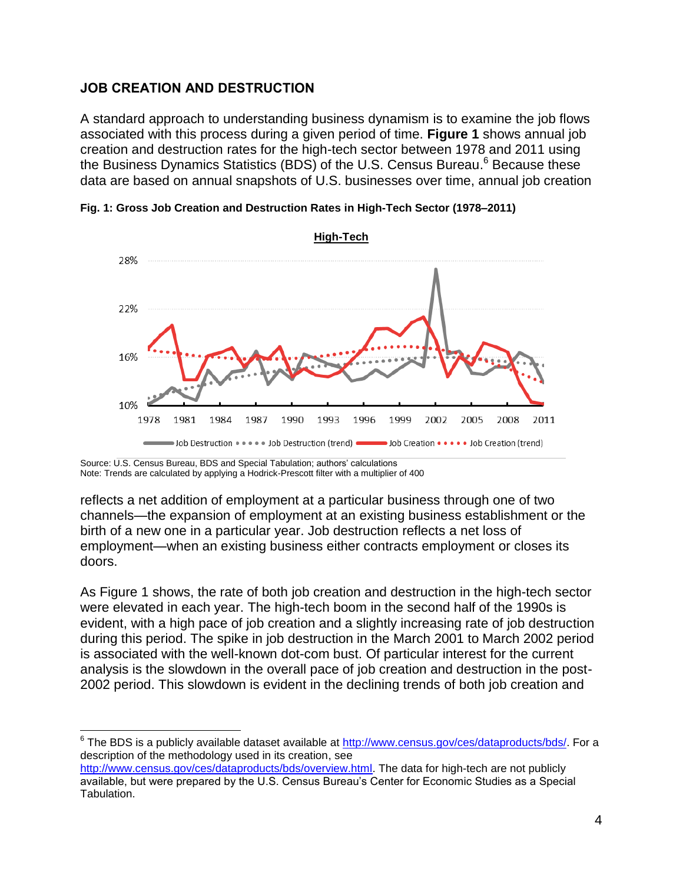## **JOB CREATION AND DESTRUCTION**

A standard approach to understanding business dynamism is to examine the job flows associated with this process during a given period of time. **Figure 1** shows annual job creation and destruction rates for the high-tech sector between 1978 and 2011 using the Business Dynamics Statistics (BDS) of the U.S. Census Bureau.<sup>6</sup> Because these data are based on annual snapshots of U.S. businesses over time, annual job creation

**Fig. 1: Gross Job Creation and Destruction Rates in High-Tech Sector (1978–2011)**



Source: U.S. Census Bureau, BDS and Special Tabulation; authors' calculations Note: Trends are calculated by applying a Hodrick-Prescott filter with a multiplier of 400

reflects a net addition of employment at a particular business through one of two channels—the expansion of employment at an existing business establishment or the birth of a new one in a particular year. Job destruction reflects a net loss of employment—when an existing business either contracts employment or closes its doors.

As Figure 1 shows, the rate of both job creation and destruction in the high-tech sector were elevated in each year. The high-tech boom in the second half of the 1990s is evident, with a high pace of job creation and a slightly increasing rate of job destruction during this period. The spike in job destruction in the March 2001 to March 2002 period is associated with the well-known dot-com bust. Of particular interest for the current analysis is the slowdown in the overall pace of job creation and destruction in the post-2002 period. This slowdown is evident in the declining trends of both job creation and

 $\overline{\phantom{a}}$ <sup>6</sup> The BDS is a publicly available dataset available at [http://www.census.gov/ces/dataproducts/bds/.](http://www.census.gov/ces/dataproducts/bds/) For a description of the methodology used in its creation, see [http://www.census.gov/ces/dataproducts/bds/overview.html.](http://www.census.gov/ces/dataproducts/bds/overview.html) The data for high-tech are not publicly

available, but were prepared by the U.S. Census Bureau's Center for Economic Studies as a Special Tabulation.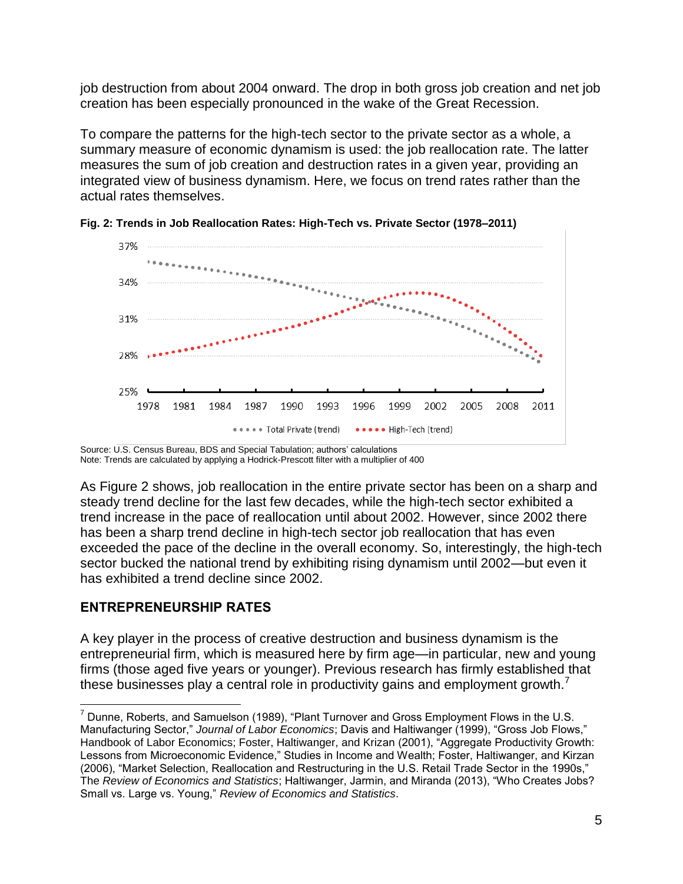job destruction from about 2004 onward. The drop in both gross job creation and net job creation has been especially pronounced in the wake of the Great Recession.

To compare the patterns for the high-tech sector to the private sector as a whole, a summary measure of economic dynamism is used: the job reallocation rate. The latter measures the sum of job creation and destruction rates in a given year, providing an integrated view of business dynamism. Here, we focus on trend rates rather than the actual rates themselves.



**Fig. 2: Trends in Job Reallocation Rates: High-Tech vs. Private Sector (1978–2011)**

Source: U.S. Census Bureau, BDS and Special Tabulation; authors' calculations Note: Trends are calculated by applying a Hodrick-Prescott filter with a multiplier of 400

As Figure 2 shows, job reallocation in the entire private sector has been on a sharp and steady trend decline for the last few decades, while the high-tech sector exhibited a trend increase in the pace of reallocation until about 2002. However, since 2002 there has been a sharp trend decline in high-tech sector job reallocation that has even exceeded the pace of the decline in the overall economy. So, interestingly, the high-tech sector bucked the national trend by exhibiting rising dynamism until 2002—but even it has exhibited a trend decline since 2002.

## **ENTREPRENEURSHIP RATES**

 $\overline{a}$ 

A key player in the process of creative destruction and business dynamism is the entrepreneurial firm, which is measured here by firm age—in particular, new and young firms (those aged five years or younger). Previous research has firmly established that these businesses play a central role in productivity gains and employment growth.<sup>7</sup>

 $^7$  Dunne, Roberts, and Samuelson (1989), "Plant Turnover and Gross Employment Flows in the U.S. Manufacturing Sector," *Journal of Labor Economics*; Davis and Haltiwanger (1999), "Gross Job Flows," Handbook of Labor Economics; Foster, Haltiwanger, and Krizan (2001), "Aggregate Productivity Growth: Lessons from Microeconomic Evidence," Studies in Income and Wealth; Foster, Haltiwanger, and Kirzan (2006), "Market Selection, Reallocation and Restructuring in the U.S. Retail Trade Sector in the 1990s," The *Review of Economics and Statistics*; Haltiwanger, Jarmin, and Miranda (2013), "Who Creates Jobs? Small vs. Large vs. Young," *Review of Economics and Statistics*.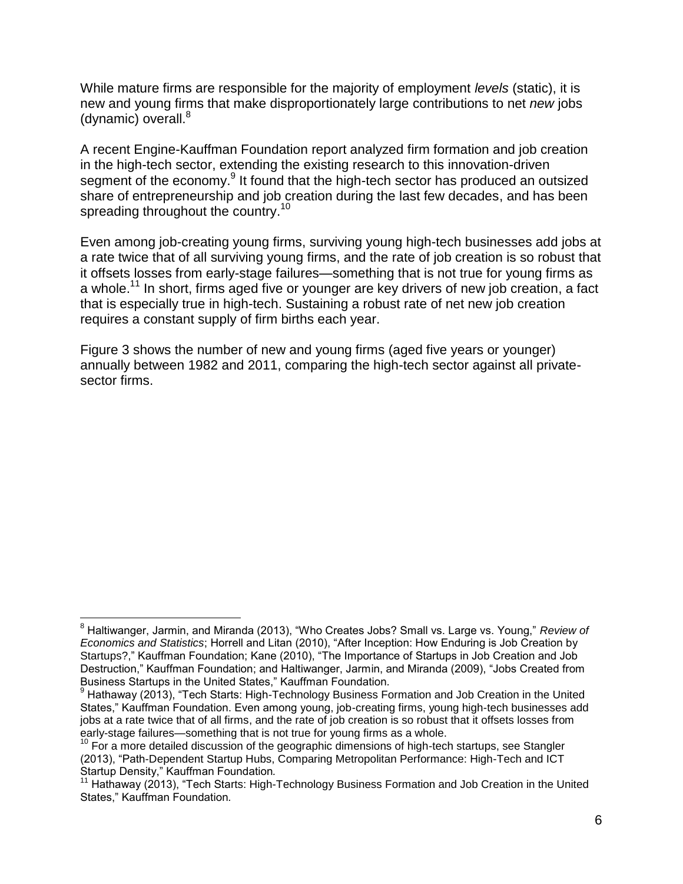While mature firms are responsible for the majority of employment *levels* (static), it is new and young firms that make disproportionately large contributions to net *new* jobs (dynamic) overall.<sup>8</sup>

A recent Engine-Kauffman Foundation report analyzed firm formation and job creation in the high-tech sector, extending the existing research to this innovation-driven segment of the economy.<sup>9</sup> It found that the high-tech sector has produced an outsized share of entrepreneurship and job creation during the last few decades, and has been spreading throughout the country.<sup>10</sup>

Even among job-creating young firms, surviving young high-tech businesses add jobs at a rate twice that of all surviving young firms, and the rate of job creation is so robust that it offsets losses from early-stage failures—something that is not true for young firms as a whole.<sup>11</sup> In short, firms aged five or younger are key drivers of new job creation, a fact that is especially true in high-tech. Sustaining a robust rate of net new job creation requires a constant supply of firm births each year.

Figure 3 shows the number of new and young firms (aged five years or younger) annually between 1982 and 2011, comparing the high-tech sector against all privatesector firms.

l

<sup>8</sup> Haltiwanger, Jarmin, and Miranda (2013), "Who Creates Jobs? Small vs. Large vs. Young," *Review of Economics and Statistics*; Horrell and Litan (2010), "After Inception: How Enduring is Job Creation by Startups?," Kauffman Foundation; Kane (2010), "The Importance of Startups in Job Creation and Job Destruction," Kauffman Foundation; and Haltiwanger, Jarmin, and Miranda (2009), "Jobs Created from Business Startups in the United States," Kauffman Foundation*.*

<sup>&</sup>lt;sup>9</sup> Hathaway (2013), "Tech Starts: High-Technology Business Formation and Job Creation in the United States," Kauffman Foundation. Even among young, job-creating firms, young high-tech businesses add jobs at a rate twice that of all firms, and the rate of job creation is so robust that it offsets losses from early-stage failures—something that is not true for young firms as a whole.

<sup>&</sup>lt;sup>10</sup> For a more detailed discussion of the geographic dimensions of high-tech startups, see Stangler (2013), "Path-Dependent Startup Hubs, Comparing Metropolitan Performance: High-Tech and ICT Startup Density," Kauffman Foundation*.*

<sup>&</sup>lt;sup>11</sup> Hathaway (2013), "Tech Starts: High-Technology Business Formation and Job Creation in the United States," Kauffman Foundation*.*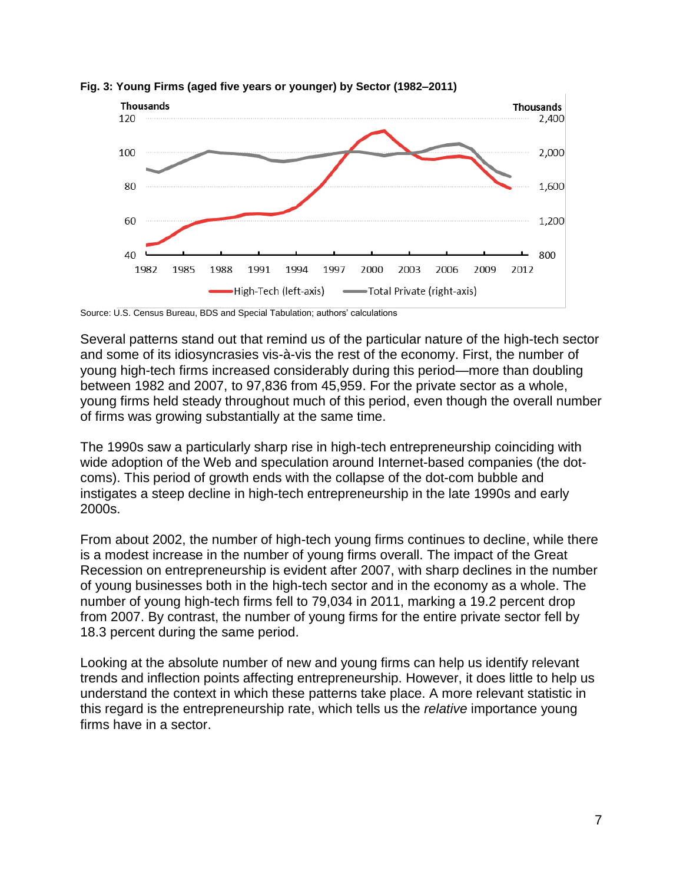

#### **Fig. 3: Young Firms (aged five years or younger) by Sector (1982–2011)**

Source: U.S. Census Bureau, BDS and Special Tabulation; authors' calculations

Several patterns stand out that remind us of the particular nature of the high-tech sector and some of its idiosyncrasies vis-à-vis the rest of the economy. First, the number of young high-tech firms increased considerably during this period—more than doubling between 1982 and 2007, to 97,836 from 45,959. For the private sector as a whole, young firms held steady throughout much of this period, even though the overall number of firms was growing substantially at the same time.

The 1990s saw a particularly sharp rise in high-tech entrepreneurship coinciding with wide adoption of the Web and speculation around Internet-based companies (the dotcoms). This period of growth ends with the collapse of the dot-com bubble and instigates a steep decline in high-tech entrepreneurship in the late 1990s and early 2000s.

From about 2002, the number of high-tech young firms continues to decline, while there is a modest increase in the number of young firms overall. The impact of the Great Recession on entrepreneurship is evident after 2007, with sharp declines in the number of young businesses both in the high-tech sector and in the economy as a whole. The number of young high-tech firms fell to 79,034 in 2011, marking a 19.2 percent drop from 2007. By contrast, the number of young firms for the entire private sector fell by 18.3 percent during the same period.

Looking at the absolute number of new and young firms can help us identify relevant trends and inflection points affecting entrepreneurship. However, it does little to help us understand the context in which these patterns take place. A more relevant statistic in this regard is the entrepreneurship rate, which tells us the *relative* importance young firms have in a sector.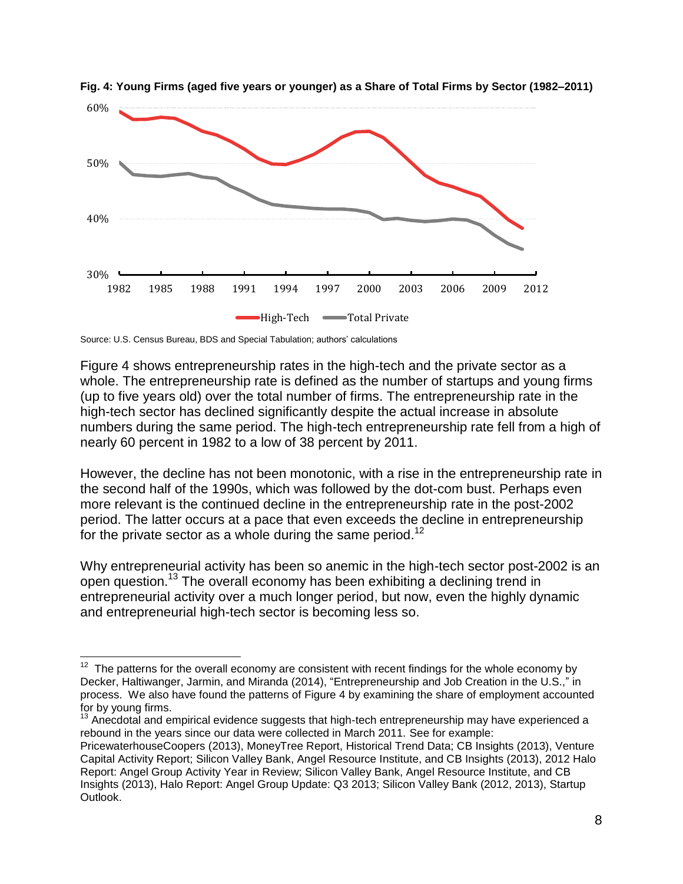

**Fig. 4: Young Firms (aged five years or younger) as a Share of Total Firms by Sector (1982–2011)**

Source: U.S. Census Bureau, BDS and Special Tabulation; authors' calculations

Figure 4 shows entrepreneurship rates in the high-tech and the private sector as a whole. The entrepreneurship rate is defined as the number of startups and young firms (up to five years old) over the total number of firms. The entrepreneurship rate in the high-tech sector has declined significantly despite the actual increase in absolute numbers during the same period. The high-tech entrepreneurship rate fell from a high of nearly 60 percent in 1982 to a low of 38 percent by 2011.

However, the decline has not been monotonic, with a rise in the entrepreneurship rate in the second half of the 1990s, which was followed by the dot-com bust. Perhaps even more relevant is the continued decline in the entrepreneurship rate in the post-2002 period. The latter occurs at a pace that even exceeds the decline in entrepreneurship for the private sector as a whole during the same period.<sup>12</sup>

Why entrepreneurial activity has been so anemic in the high-tech sector post-2002 is an open question.<sup>13</sup> The overall economy has been exhibiting a declining trend in entrepreneurial activity over a much longer period, but now, even the highly dynamic and entrepreneurial high-tech sector is becoming less so.

 $\frac{1}{12}$  The patterns for the overall economy are consistent with recent findings for the whole economy by Decker, Haltiwanger, Jarmin, and Miranda (2014), "Entrepreneurship and Job Creation in the U.S.," in process. We also have found the patterns of Figure 4 by examining the share of employment accounted for by young firms.

 $^{13}$  Anecdotal and empirical evidence suggests that high-tech entrepreneurship may have experienced a rebound in the years since our data were collected in March 2011. See for example:

PricewaterhouseCoopers (2013), MoneyTree Report, Historical Trend Data; CB Insights (2013), Venture Capital Activity Report; Silicon Valley Bank, Angel Resource Institute, and CB Insights (2013), 2012 Halo Report: Angel Group Activity Year in Review; Silicon Valley Bank, Angel Resource Institute, and CB Insights (2013), Halo Report: Angel Group Update: Q3 2013; Silicon Valley Bank (2012, 2013), Startup Outlook.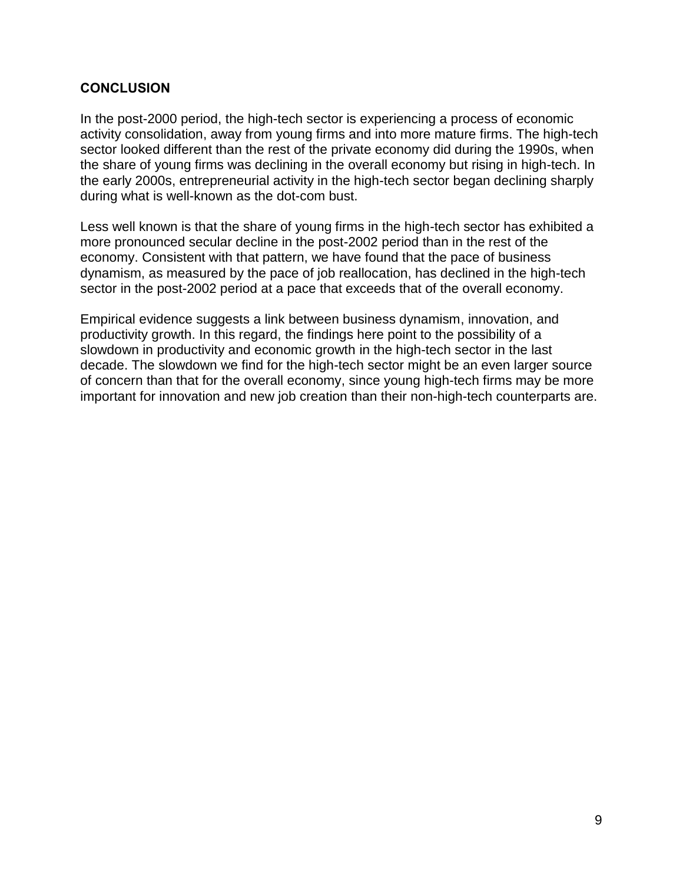### **CONCLUSION**

In the post-2000 period, the high-tech sector is experiencing a process of economic activity consolidation, away from young firms and into more mature firms. The high-tech sector looked different than the rest of the private economy did during the 1990s, when the share of young firms was declining in the overall economy but rising in high-tech. In the early 2000s, entrepreneurial activity in the high-tech sector began declining sharply during what is well-known as the dot-com bust.

Less well known is that the share of young firms in the high-tech sector has exhibited a more pronounced secular decline in the post-2002 period than in the rest of the economy. Consistent with that pattern, we have found that the pace of business dynamism, as measured by the pace of job reallocation, has declined in the high-tech sector in the post-2002 period at a pace that exceeds that of the overall economy.

Empirical evidence suggests a link between business dynamism, innovation, and productivity growth. In this regard, the findings here point to the possibility of a slowdown in productivity and economic growth in the high-tech sector in the last decade. The slowdown we find for the high-tech sector might be an even larger source of concern than that for the overall economy, since young high-tech firms may be more important for innovation and new job creation than their non-high-tech counterparts are.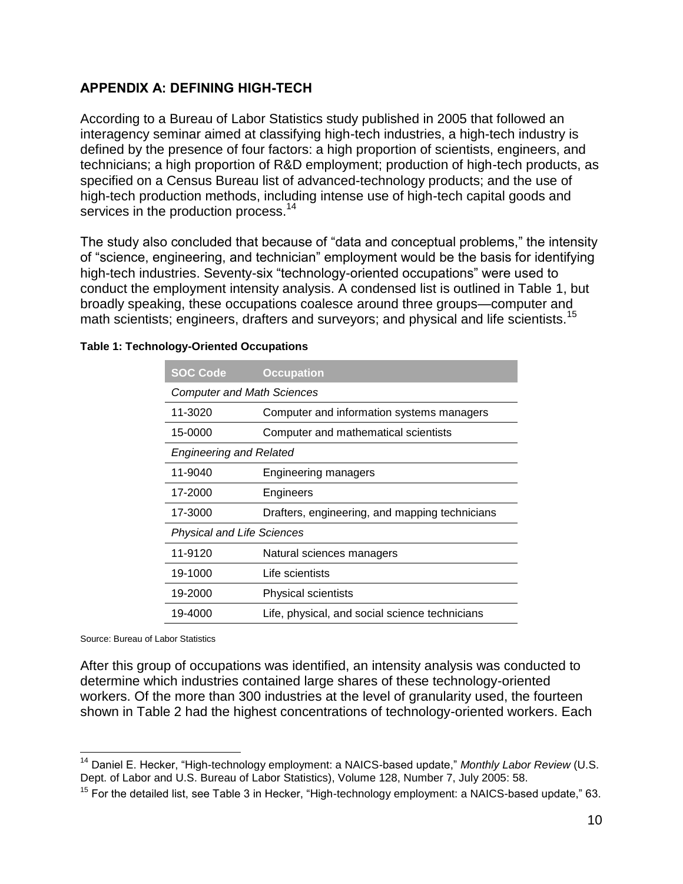# **APPENDIX A: DEFINING HIGH-TECH**

According to a Bureau of Labor Statistics study published in 2005 that followed an interagency seminar aimed at classifying high-tech industries, a high-tech industry is defined by the presence of four factors: a high proportion of scientists, engineers, and technicians; a high proportion of R&D employment; production of high-tech products, as specified on a Census Bureau list of advanced-technology products; and the use of high-tech production methods, including intense use of high-tech capital goods and services in the production process.<sup>14</sup>

The study also concluded that because of "data and conceptual problems," the intensity of "science, engineering, and technician" employment would be the basis for identifying high-tech industries. Seventy-six "technology-oriented occupations" were used to conduct the employment intensity analysis. A condensed list is outlined in Table 1, but broadly speaking, these occupations coalesce around three groups—computer and math scientists; engineers, drafters and surveyors; and physical and life scientists.<sup>15</sup>

| <b>SOC Code</b>                   | <b>Occupation</b>                              |
|-----------------------------------|------------------------------------------------|
| <b>Computer and Math Sciences</b> |                                                |
| 11-3020                           | Computer and information systems managers      |
| 15-0000                           | Computer and mathematical scientists           |
| <b>Engineering and Related</b>    |                                                |
| 11-9040                           | <b>Engineering managers</b>                    |
| 17-2000                           | Engineers                                      |
| 17-3000                           | Drafters, engineering, and mapping technicians |
| <b>Physical and Life Sciences</b> |                                                |
| 11-9120                           | Natural sciences managers                      |
| 19-1000                           | Life scientists                                |
| 19-2000                           | Physical scientists                            |
| 19-4000                           | Life, physical, and social science technicians |

#### **Table 1: Technology-Oriented Occupations**

Source: Bureau of Labor Statistics

After this group of occupations was identified, an intensity analysis was conducted to determine which industries contained large shares of these technology-oriented workers. Of the more than 300 industries at the level of granularity used, the fourteen shown in Table 2 had the highest concentrations of technology-oriented workers. Each

 $\overline{\phantom{a}}$ <sup>14</sup> Daniel E. Hecker, "High-technology employment: a NAICS-based update," *Monthly Labor Review* (U.S. Dept. of Labor and U.S. Bureau of Labor Statistics), Volume 128, Number 7, July 2005: 58.

<sup>&</sup>lt;sup>15</sup> For the detailed list, see Table 3 in Hecker, "High-technology employment: a NAICS-based update," 63.